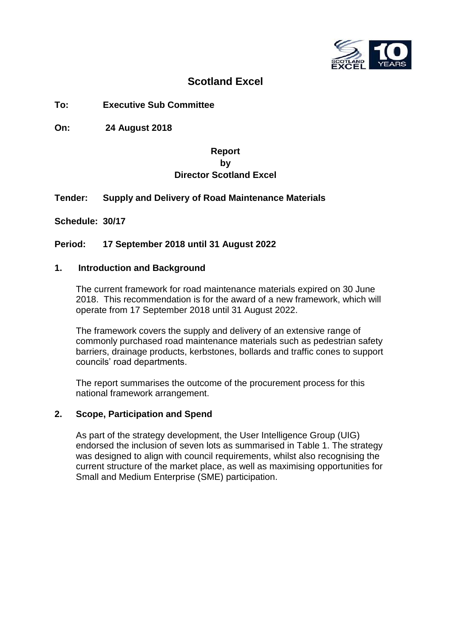

# **Scotland Excel**

## **To: Executive Sub Committee**

**On: 24 August 2018**

## **Report by Director Scotland Excel**

#### **Tender: Supply and Delivery of Road Maintenance Materials**

**Schedule: 30/17**

#### **Period: 17 September 2018 until 31 August 2022**

#### **1. Introduction and Background**

The current framework for road maintenance materials expired on 30 June 2018. This recommendation is for the award of a new framework, which will operate from 17 September 2018 until 31 August 2022.

The framework covers the supply and delivery of an extensive range of commonly purchased road maintenance materials such as pedestrian safety barriers, drainage products, kerbstones, bollards and traffic cones to support councils' road departments.

The report summarises the outcome of the procurement process for this national framework arrangement.

#### **2. Scope, Participation and Spend**

As part of the strategy development, the User Intelligence Group (UIG) endorsed the inclusion of seven lots as summarised in Table 1. The strategy was designed to align with council requirements, whilst also recognising the current structure of the market place, as well as maximising opportunities for Small and Medium Enterprise (SME) participation.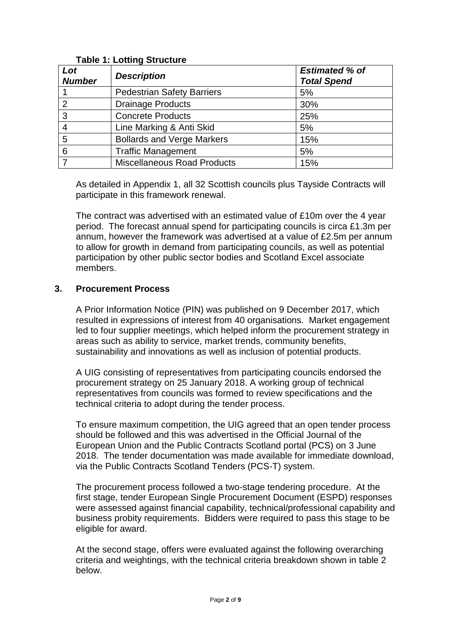| Lot<br><b>Number</b> | <b>Description</b>                 | <b>Estimated % of</b><br><b>Total Spend</b> |
|----------------------|------------------------------------|---------------------------------------------|
|                      | <b>Pedestrian Safety Barriers</b>  | 5%                                          |
| 2                    | <b>Drainage Products</b>           | 30%                                         |
| 3                    | <b>Concrete Products</b>           | 25%                                         |
| $\overline{4}$       | Line Marking & Anti Skid           | 5%                                          |
| 5                    | <b>Bollards and Verge Markers</b>  | 15%                                         |
| 6                    | <b>Traffic Management</b>          | 5%                                          |
| 7                    | <b>Miscellaneous Road Products</b> | 15%                                         |

## **Table 1: Lotting Structure**

As detailed in Appendix 1, all 32 Scottish councils plus Tayside Contracts will participate in this framework renewal.

The contract was advertised with an estimated value of £10m over the 4 year period. The forecast annual spend for participating councils is circa £1.3m per annum, however the framework was advertised at a value of £2.5m per annum to allow for growth in demand from participating councils, as well as potential participation by other public sector bodies and Scotland Excel associate members.

## **3. Procurement Process**

A Prior Information Notice (PIN) was published on 9 December 2017, which resulted in expressions of interest from 40 organisations. Market engagement led to four supplier meetings, which helped inform the procurement strategy in areas such as ability to service, market trends, community benefits, sustainability and innovations as well as inclusion of potential products.

A UIG consisting of representatives from participating councils endorsed the procurement strategy on 25 January 2018. A working group of technical representatives from councils was formed to review specifications and the technical criteria to adopt during the tender process.

To ensure maximum competition, the UIG agreed that an open tender process should be followed and this was advertised in the Official Journal of the European Union and the Public Contracts Scotland portal (PCS) on 3 June 2018. The tender documentation was made available for immediate download, via the Public Contracts Scotland Tenders (PCS-T) system.

The procurement process followed a two-stage tendering procedure. At the first stage, tender European Single Procurement Document (ESPD) responses were assessed against financial capability, technical/professional capability and business probity requirements. Bidders were required to pass this stage to be eligible for award.

At the second stage, offers were evaluated against the following overarching criteria and weightings, with the technical criteria breakdown shown in table 2 below.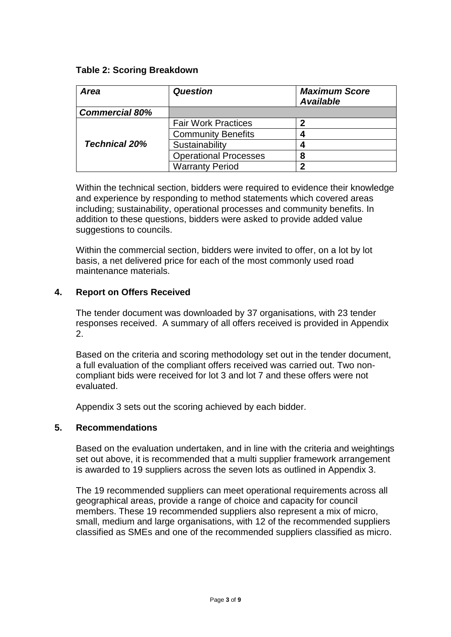## **Table 2: Scoring Breakdown**

| <b>Area</b>           | <b>Question</b>              | <b>Maximum Score</b><br><b>Available</b> |
|-----------------------|------------------------------|------------------------------------------|
| <b>Commercial 80%</b> |                              |                                          |
|                       | <b>Fair Work Practices</b>   | n                                        |
|                       | <b>Community Benefits</b>    |                                          |
| <b>Technical 20%</b>  | Sustainability               |                                          |
|                       | <b>Operational Processes</b> | 8                                        |
|                       | <b>Warranty Period</b>       | ∍                                        |

Within the technical section, bidders were required to evidence their knowledge and experience by responding to method statements which covered areas including; sustainability, operational processes and community benefits. In addition to these questions, bidders were asked to provide added value suggestions to councils.

Within the commercial section, bidders were invited to offer, on a lot by lot basis, a net delivered price for each of the most commonly used road maintenance materials.

## **4. Report on Offers Received**

The tender document was downloaded by 37 organisations, with 23 tender responses received. A summary of all offers received is provided in Appendix 2.

Based on the criteria and scoring methodology set out in the tender document, a full evaluation of the compliant offers received was carried out. Two noncompliant bids were received for lot 3 and lot 7 and these offers were not evaluated.

Appendix 3 sets out the scoring achieved by each bidder.

#### **5. Recommendations**

Based on the evaluation undertaken, and in line with the criteria and weightings set out above, it is recommended that a multi supplier framework arrangement is awarded to 19 suppliers across the seven lots as outlined in Appendix 3.

The 19 recommended suppliers can meet operational requirements across all geographical areas, provide a range of choice and capacity for council members. These 19 recommended suppliers also represent a mix of micro, small, medium and large organisations, with 12 of the recommended suppliers classified as SMEs and one of the recommended suppliers classified as micro.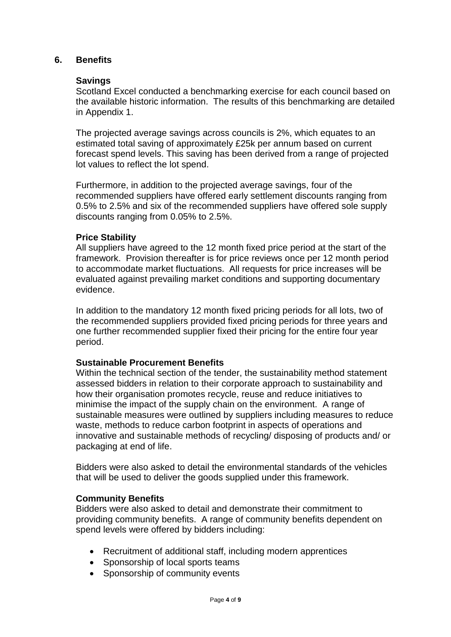#### **6. Benefits**

#### **Savings**

Scotland Excel conducted a benchmarking exercise for each council based on the available historic information. The results of this benchmarking are detailed in Appendix 1.

The projected average savings across councils is 2%, which equates to an estimated total saving of approximately £25k per annum based on current forecast spend levels. This saving has been derived from a range of projected lot values to reflect the lot spend.

Furthermore, in addition to the projected average savings, four of the recommended suppliers have offered early settlement discounts ranging from 0.5% to 2.5% and six of the recommended suppliers have offered sole supply discounts ranging from 0.05% to 2.5%.

#### **Price Stability**

All suppliers have agreed to the 12 month fixed price period at the start of the framework. Provision thereafter is for price reviews once per 12 month period to accommodate market fluctuations. All requests for price increases will be evaluated against prevailing market conditions and supporting documentary evidence.

In addition to the mandatory 12 month fixed pricing periods for all lots, two of the recommended suppliers provided fixed pricing periods for three years and one further recommended supplier fixed their pricing for the entire four year period.

#### **Sustainable Procurement Benefits**

Within the technical section of the tender, the sustainability method statement assessed bidders in relation to their corporate approach to sustainability and how their organisation promotes recycle, reuse and reduce initiatives to minimise the impact of the supply chain on the environment. A range of sustainable measures were outlined by suppliers including measures to reduce waste, methods to reduce carbon footprint in aspects of operations and innovative and sustainable methods of recycling/ disposing of products and/ or packaging at end of life.

Bidders were also asked to detail the environmental standards of the vehicles that will be used to deliver the goods supplied under this framework.

#### **Community Benefits**

Bidders were also asked to detail and demonstrate their commitment to providing community benefits. A range of community benefits dependent on spend levels were offered by bidders including:

- Recruitment of additional staff, including modern apprentices
- Sponsorship of local sports teams
- Sponsorship of community events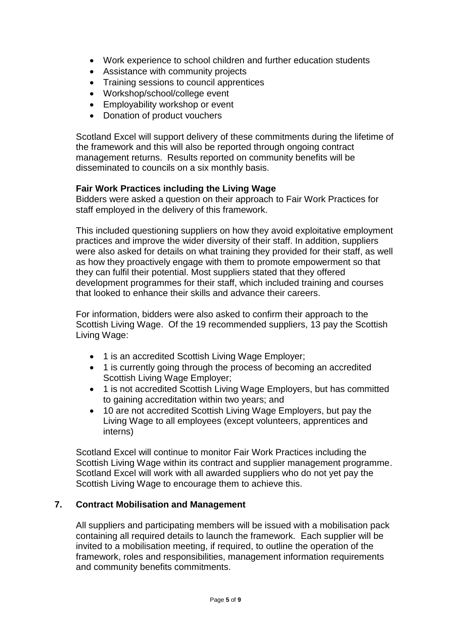- Work experience to school children and further education students
- Assistance with community projects
- Training sessions to council apprentices
- Workshop/school/college event
- Employability workshop or event
- Donation of product vouchers

Scotland Excel will support delivery of these commitments during the lifetime of the framework and this will also be reported through ongoing contract management returns. Results reported on community benefits will be disseminated to councils on a six monthly basis.

#### **Fair Work Practices including the Living Wage**

Bidders were asked a question on their approach to Fair Work Practices for staff employed in the delivery of this framework.

This included questioning suppliers on how they avoid exploitative employment practices and improve the wider diversity of their staff. In addition, suppliers were also asked for details on what training they provided for their staff, as well as how they proactively engage with them to promote empowerment so that they can fulfil their potential. Most suppliers stated that they offered development programmes for their staff, which included training and courses that looked to enhance their skills and advance their careers.

For information, bidders were also asked to confirm their approach to the Scottish Living Wage. Of the 19 recommended suppliers, 13 pay the Scottish Living Wage:

- 1 is an accredited Scottish Living Wage Employer;
- 1 is currently going through the process of becoming an accredited Scottish Living Wage Employer;
- 1 is not accredited Scottish Living Wage Employers, but has committed to gaining accreditation within two years; and
- 10 are not accredited Scottish Living Wage Employers, but pay the Living Wage to all employees (except volunteers, apprentices and interns)

Scotland Excel will continue to monitor Fair Work Practices including the Scottish Living Wage within its contract and supplier management programme. Scotland Excel will work with all awarded suppliers who do not yet pay the Scottish Living Wage to encourage them to achieve this.

#### **7. Contract Mobilisation and Management**

All suppliers and participating members will be issued with a mobilisation pack containing all required details to launch the framework. Each supplier will be invited to a mobilisation meeting, if required, to outline the operation of the framework, roles and responsibilities, management information requirements and community benefits commitments.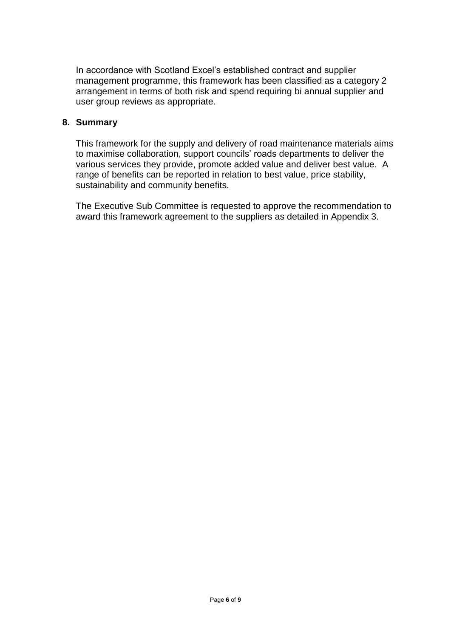In accordance with Scotland Excel's established contract and supplier management programme, this framework has been classified as a category 2 arrangement in terms of both risk and spend requiring bi annual supplier and user group reviews as appropriate.

#### **8. Summary**

This framework for the supply and delivery of road maintenance materials aims to maximise collaboration, support councils' roads departments to deliver the various services they provide, promote added value and deliver best value. A range of benefits can be reported in relation to best value, price stability, sustainability and community benefits.

The Executive Sub Committee is requested to approve the recommendation to award this framework agreement to the suppliers as detailed in Appendix 3.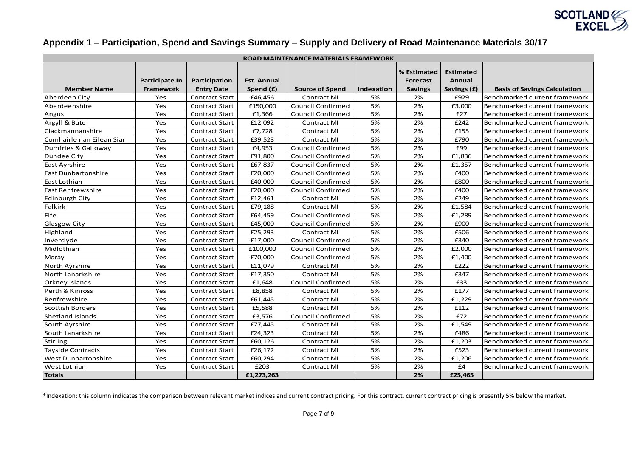

## **Appendix 1 – Participation, Spend and Savings Summary – Supply and Delivery of Road Maintenance Materials 30/17**

| ROAD MAINTENANCE MATERIALS FRAMEWORK |                         |                                            |                      |                                              |                         |                         |                                   |                                                                      |
|--------------------------------------|-------------------------|--------------------------------------------|----------------------|----------------------------------------------|-------------------------|-------------------------|-----------------------------------|----------------------------------------------------------------------|
|                                      | Participate In          | Participation                              | <b>Est. Annual</b>   |                                              |                         | % Estimated<br>Forecast | <b>Estimated</b><br><b>Annual</b> |                                                                      |
| <b>Member Name</b><br>Aberdeen City  | <b>Framework</b><br>Yes | <b>Entry Date</b><br><b>Contract Start</b> | Spend (£)<br>£46,456 | <b>Source of Spend</b><br><b>Contract MI</b> | <b>Indexation</b><br>5% | <b>Savings</b><br>2%    | Savings (£)<br>£929               | <b>Basis of Savings Calculation</b><br>Benchmarked current framework |
| Aberdeenshire                        | Yes                     | <b>Contract Start</b>                      | £150,000             | <b>Council Confirmed</b>                     | 5%                      | 2%                      | £3,000                            | Benchmarked current framework                                        |
| Angus                                | Yes                     | <b>Contract Start</b>                      | £1,366               | <b>Council Confirmed</b>                     | 5%                      | 2%                      | £27                               | Benchmarked current framework                                        |
| Argyll & Bute                        | Yes                     | <b>Contract Start</b>                      | £12,092              | <b>Contract MI</b>                           | 5%                      | 2%                      | £242                              | Benchmarked current framework                                        |
| Clackmannanshire                     | Yes                     | <b>Contract Start</b>                      | £7,728               | <b>Contract MI</b>                           | 5%                      | 2%                      | £155                              | lBenchmarked current framework                                       |
| Comhairle nan Eilean Siar            | Yes                     | <b>Contract Start</b>                      | £39,523              | <b>Contract MI</b>                           | 5%                      | 2%                      | £790                              | Benchmarked current framework                                        |
| Dumfries & Galloway                  | Yes                     | <b>Contract Start</b>                      | £4,953               | <b>Council Confirmed</b>                     | 5%                      | 2%                      | £99                               | Benchmarked current framework                                        |
| Dundee City                          | Yes                     | <b>Contract Start</b>                      | £91,800              | <b>Council Confirmed</b>                     | 5%                      | 2%                      | £1,836                            | Benchmarked current framework                                        |
| East Ayrshire                        | Yes                     | <b>Contract Start</b>                      | £67,837              | <b>Council Confirmed</b>                     | 5%                      | 2%                      | £1,357                            | Benchmarked current framework                                        |
| <b>East Dunbartonshire</b>           | Yes                     | <b>Contract Start</b>                      | £20,000              | <b>Council Confirmed</b>                     | 5%                      | 2%                      | £400                              | Benchmarked current framework                                        |
| East Lothian                         | Yes                     | <b>Contract Start</b>                      | £40,000              | <b>Council Confirmed</b>                     | 5%                      | 2%                      | £800                              | Benchmarked current framework                                        |
| <b>East Renfrewshire</b>             | Yes                     | <b>Contract Start</b>                      | £20,000              | <b>Council Confirmed</b>                     | 5%                      | 2%                      | £400                              | Benchmarked current framework                                        |
| <b>Edinburgh City</b>                | Yes                     | <b>Contract Start</b>                      | £12,461              | <b>Contract MI</b>                           | 5%                      | 2%                      | £249                              | Benchmarked current framework                                        |
| Falkirk                              | Yes                     | <b>Contract Start</b>                      | £79,188              | <b>Contract MI</b>                           | 5%                      | 2%                      | £1,584                            | Benchmarked current framework                                        |
| Fife                                 | Yes                     | <b>Contract Start</b>                      | £64,459              | <b>Council Confirmed</b>                     | 5%                      | 2%                      | £1,289                            | Benchmarked current framework                                        |
| Glasgow City                         | Yes                     | <b>Contract Start</b>                      | £45,000              | <b>Council Confirmed</b>                     | 5%                      | 2%                      | £900                              | Benchmarked current framework                                        |
| Highland                             | Yes                     | <b>Contract Start</b>                      | £25,293              | <b>Contract MI</b>                           | 5%                      | 2%                      | £506                              | Benchmarked current framework                                        |
| Inverclyde                           | Yes                     | <b>Contract Start</b>                      | £17,000              | <b>Council Confirmed</b>                     | 5%                      | 2%                      | £340                              | Benchmarked current framework                                        |
| Midlothian                           | Yes                     | <b>Contract Start</b>                      | £100,000             | <b>Council Confirmed</b>                     | 5%                      | 2%                      | £2,000                            | lBenchmarked current framework                                       |
| Moray                                | Yes                     | <b>Contract Start</b>                      | £70,000              | <b>Council Confirmed</b>                     | 5%                      | 2%                      | £1,400                            | Benchmarked current framework                                        |
| North Ayrshire                       | Yes                     | <b>Contract Start</b>                      | £11,079              | <b>Contract MI</b>                           | 5%                      | 2%                      | £222                              | Benchmarked current framework                                        |
| North Lanarkshire                    | Yes                     | <b>Contract Start</b>                      | £17,350              | <b>Contract MI</b>                           | 5%                      | 2%                      | £347                              | Benchmarked current framework                                        |
| Orkney Islands                       | Yes                     | <b>Contract Start</b>                      | £1,648               | <b>Council Confirmed</b>                     | 5%                      | 2%                      | £33                               | Benchmarked current framework                                        |
| Perth & Kinross                      | Yes                     | <b>Contract Start</b>                      | £8,858               | <b>Contract MI</b>                           | 5%                      | 2%                      | £177                              | Benchmarked current framework                                        |
| Renfrewshire                         | Yes                     | <b>Contract Start</b>                      | £61,445              | <b>Contract MI</b>                           | 5%                      | 2%                      | £1,229                            | Benchmarked current framework                                        |
| Scottish Borders                     | Yes                     | <b>Contract Start</b>                      | £5,588               | <b>Contract MI</b>                           | 5%                      | 2%                      | £112                              | Benchmarked current framework                                        |
| Shetland Islands                     | Yes                     | <b>Contract Start</b>                      | £3,576               | Council Confirmed                            | 5%                      | 2%                      | £72                               | Benchmarked current framework                                        |
| South Ayrshire                       | Yes                     | <b>Contract Start</b>                      | £77,445              | <b>Contract MI</b>                           | 5%                      | 2%                      | £1,549                            | Benchmarked current framework                                        |
| South Lanarkshire                    | Yes                     | <b>Contract Start</b>                      | £24,323              | <b>Contract MI</b>                           | 5%                      | 2%                      | £486                              | Benchmarked current framework                                        |
| Stirling                             | Yes                     | <b>Contract Start</b>                      | £60,126              | <b>Contract MI</b>                           | 5%                      | 2%                      | £1,203                            | Benchmarked current framework                                        |
| <b>Tayside Contracts</b>             | Yes                     | <b>Contract Start</b>                      | £26,172              | <b>Contract MI</b>                           | 5%                      | 2%                      | £523                              | Benchmarked current framework                                        |
| West Dunbartonshire                  | Yes                     | <b>Contract Start</b>                      | £60,294              | <b>Contract MI</b>                           | 5%                      | 2%                      | £1,206                            | Benchmarked current framework                                        |
| West Lothian                         | Yes                     | <b>Contract Start</b>                      | £203                 | <b>Contract MI</b>                           | 5%                      | 2%                      | £4                                | Benchmarked current framework                                        |
| <b>Totals</b>                        |                         |                                            | £1,273,263           |                                              |                         | 2%                      | £25,465                           |                                                                      |

\*Indexation: this column indicates the comparison between relevant market indices and current contract pricing. For this contract, current contract pricing is presently 5% below the market.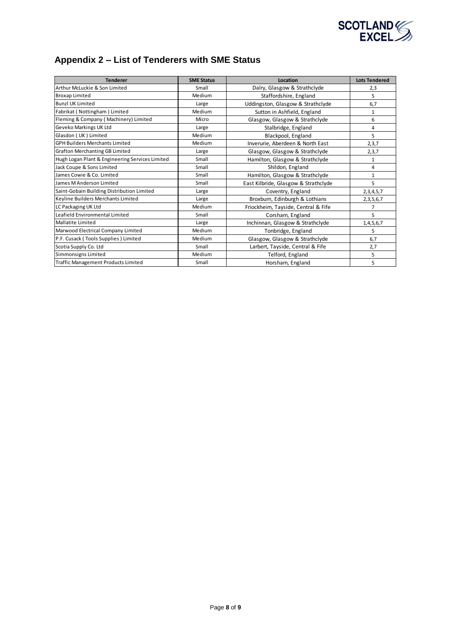

# **Appendix 2 – List of Tenderers with SME Status**

| <b>Tenderer</b>                                 | <b>SME Status</b> | Location                             | <b>Lots Tendered</b> |
|-------------------------------------------------|-------------------|--------------------------------------|----------------------|
| Arthur McLuckie & Son Limited                   | Small             | Dalry, Glasgow & Strathclyde         | 2,3                  |
| <b>Broxap Limited</b>                           | Medium            | Staffordshire, England               | 5                    |
| <b>Bunzl UK Limited</b>                         | Large             | Uddingston, Glasgow & Strathclyde    | 6,7                  |
| Fabrikat (Nottingham) Limited                   | Medium            | Sutton in Ashfield, England          | 1                    |
| Fleming & Company (Machinery) Limited           | Micro             | Glasgow, Glasgow & Strathclyde       | 6                    |
| Geveko Markings UK Ltd                          | Large             | Stalbridge, England                  | 4                    |
| Glasdon (UK) Limited                            | Medium            | Blackpool, England                   | 5                    |
| <b>GPH Builders Merchants Limited</b>           | Medium            | Inverurie, Aberdeen & North East     | 2,3,7                |
| <b>Grafton Merchanting GB Limited</b>           | Large             | Glasgow, Glasgow & Strathclyde       | 2,3,7                |
| Hugh Logan Plant & Engineering Services Limited | Small             | Hamilton, Glasgow & Strathclyde      | 1                    |
| Jack Coupe & Sons Limited                       | Small             | Shildon, England                     | 4                    |
| James Cowie & Co. Limited                       | Small             | Hamilton, Glasgow & Strathclyde      | 1                    |
| James M Anderson Limited                        | Small             | East Kilbride, Glasgow & Strathclyde | 5                    |
| Saint-Gobain Building Distribution Limited      | Large             | Coventry, England                    | 2,3,4,5,7            |
| Keyline Builders Merchants Limited              | Large             | Broxburn, Edinburgh & Lothians       | 2, 3, 5, 6, 7        |
| LC Packaging UK Ltd                             | Medium            | Friockheim, Tayside, Central & Fife  | 7                    |
| Leafield Environmental Limited                  | Small             | Corsham, England                     | 5                    |
| Mallatite Limited                               | Large             | Inchinnan, Glasgow & Strathclyde     | 1,4,5,6,7            |
| Marwood Electrical Company Limited              | Medium            | Tonbridge, England                   | 5                    |
| P.F. Cusack (Tools Supplies) Limited            | Medium            | Glasgow, Glasgow & Strathclyde       | 6,7                  |
| Scotia Supply Co. Ltd                           | Small             | Larbert, Tayside, Central & Fife     | 2,7                  |
| Simmonsigns Limited                             | Medium            | Telford, England                     | 5                    |
| Traffic Management Products Limited             | Small             | Horsham, England                     | 5                    |